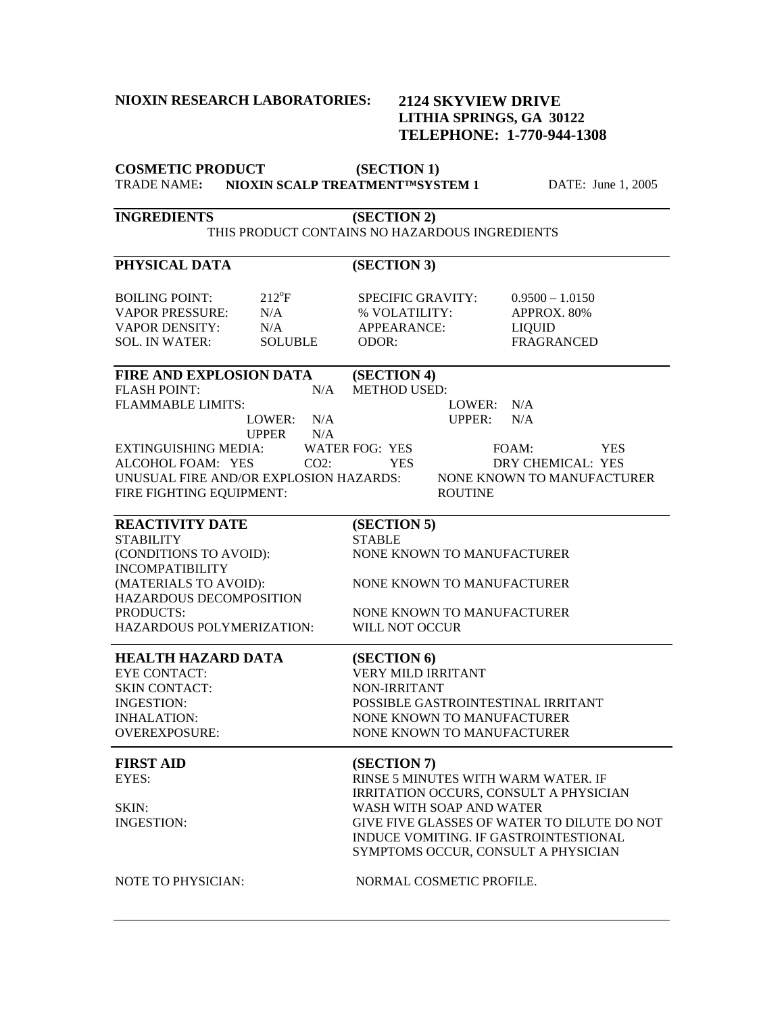### **NIOXIN RESEARCH LABORATORIES:**

## **2124 SKYVIEW DRIVE LITHIA SPRINGS, GA 30122 TELEPHONE: 1-770-944-1308**

| <b>COSMETIC PRODUCT</b>                        | (SECTION 1)                                            |  |
|------------------------------------------------|--------------------------------------------------------|--|
| <b>TRADE NAME:</b>                             | NIOXIN SCALP TREATMENTIMSYSTEM 1<br>DATE: June 1, 2005 |  |
| <b>INGREDIENTS</b>                             | (SECTION 2)                                            |  |
| THIS PRODUCT CONTAINS NO HAZARDOUS INGREDIENTS |                                                        |  |
| PHYSICAL DATA                                  | (SECTION 3)                                            |  |
| $212^{\circ}F$<br><b>BOILING POINT:</b>        | <b>SPECIFIC GRAVITY:</b><br>$0.9500 - 1.0150$          |  |
| <b>VAPOR PRESSURE:</b><br>N/A                  | % VOLATILITY:<br>APPROX. 80%                           |  |
| <b>VAPOR DENSITY:</b><br>N/A                   | APPEARANCE:<br><b>LIQUID</b>                           |  |
| <b>SOL. IN WATER:</b><br><b>SOLUBLE</b>        | <b>FRAGRANCED</b><br>ODOR:                             |  |
| <b>FIRE AND EXPLOSION DATA</b>                 | (SECTION 4)                                            |  |
| <b>FLASH POINT:</b><br>N/A                     | <b>METHOD USED:</b>                                    |  |
| <b>FLAMMABLE LIMITS:</b>                       | LOWER: N/A                                             |  |
| N/A<br>LOWER:                                  | <b>UPPER:</b><br>N/A                                   |  |
| <b>UPPER</b><br>N/A                            |                                                        |  |
| <b>EXTINGUISHING MEDIA:</b>                    | WATER FOG: YES<br>FOAM:<br><b>YES</b>                  |  |
| ALCOHOL FOAM: YES<br>$CO2$ :                   | DRY CHEMICAL: YES<br>YES.                              |  |
| UNUSUAL FIRE AND/OR EXPLOSION HAZARDS:         | NONE KNOWN TO MANUFACTURER                             |  |
| FIRE FIGHTING EQUIPMENT:                       | <b>ROUTINE</b>                                         |  |
| <b>REACTIVITY DATE</b>                         | (SECTION 5)                                            |  |
| <b>STABILITY</b>                               | <b>STABLE</b>                                          |  |
| (CONDITIONS TO AVOID):                         | NONE KNOWN TO MANUFACTURER                             |  |
| <b>INCOMPATIBILITY</b>                         |                                                        |  |
| (MATERIALS TO AVOID):                          | NONE KNOWN TO MANUFACTURER                             |  |
| HAZARDOUS DECOMPOSITION                        |                                                        |  |
| PRODUCTS:                                      | NONE KNOWN TO MANUFACTURER                             |  |
| HAZARDOUS POLYMERIZATION:                      | WILL NOT OCCUR                                         |  |
|                                                |                                                        |  |
| HEALTH HAZARD DATA                             | (SECTION 6)                                            |  |
| <b>EYE CONTACT:</b>                            | VERY MILD IRRITANT                                     |  |
| <b>SKIN CONTACT:</b>                           | <b>NON-IRRITANT</b>                                    |  |
| <b>INGESTION:</b>                              | POSSIBLE GASTROINTESTINAL IRRITANT                     |  |
| <b>INHALATION:</b>                             | NONE KNOWN TO MANUFACTURER                             |  |
| OVEREXPOSURE:                                  | NONE KNOWN TO MANUFACTURER                             |  |
| <b>FIRST AID</b>                               | (SECTION 7)                                            |  |
| EYES:                                          | RINSE 5 MINUTES WITH WARM WATER. IF                    |  |
|                                                | IRRITATION OCCURS, CONSULT A PHYSICIAN                 |  |
| SKIN:                                          | WASH WITH SOAP AND WATER                               |  |
| <b>INGESTION:</b>                              | GIVE FIVE GLASSES OF WATER TO DILUTE DO NOT            |  |
|                                                | INDUCE VOMITING. IF GASTROINTESTIONAL                  |  |
|                                                | SYMPTOMS OCCUR, CONSULT A PHYSICIAN                    |  |
| NOTE TO PHYSICIAN:                             | NORMAL COSMETIC PROFILE.                               |  |